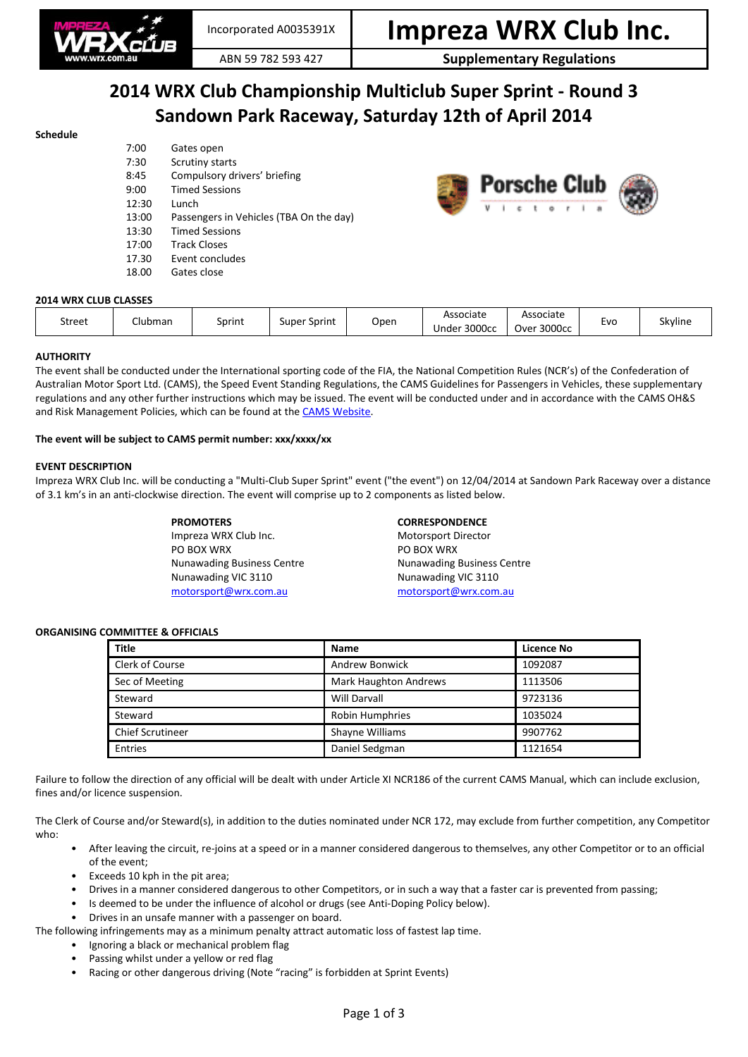

### ABN 59 782 593 427 **Supplementary Regulations**

## **2014 WRX Club Championship Multiclub Super Sprint - Round 3 Sandown Park Raceway, Saturday 12th of April 2014**

#### **Schedule**

| 7:00  | Gates open                              |
|-------|-----------------------------------------|
| 7:30  | Scrutiny starts                         |
| 8:45  | Compulsory drivers' briefing            |
| 9:00  | <b>Timed Sessions</b>                   |
| 12:30 | Lunch                                   |
| 13:00 | Passengers in Vehicles (TBA On the day) |
| 13:30 | <b>Timed Sessions</b>                   |
| 17:00 | <b>Track Closes</b>                     |
| 17.30 | Event concludes                         |
| 18.00 | Gates close                             |
|       |                                         |



| Associate<br>Associate<br>Skyline<br>Clubman<br>Street<br>Evo<br>Open<br>Sprint<br>Super Sprint<br>Under 3000cc<br>Over 3000cc | <b>2014 WRX CLUB CLASSES</b> |  |  |  |  |  |  |  |  |
|--------------------------------------------------------------------------------------------------------------------------------|------------------------------|--|--|--|--|--|--|--|--|
|                                                                                                                                |                              |  |  |  |  |  |  |  |  |

#### **AUTHORITY**

The event shall be conducted under the International sporting code of the FIA, the National Competition Rules (NCR's) of the Confederation of Australian Motor Sport Ltd. (CAMS), the Speed Event Standing Regulations, the CAMS Guidelines for Passengers in Vehicles, these supplementary regulations and any other further instructions which may be issued. The event will be conducted under and in accordance with the CAMS OH&S and Risk Management Policies, which can be found at the [CAMS Website.](http://www.cams.com.au/)

#### **The event will be subject to CAMS permit number: xxx/xxxx/xx**

#### **EVENT DESCRIPTION**

Impreza WRX Club Inc. will be conducting a "Multi-Club Super Sprint" event ("the event") on 12/04/2014 at Sandown Park Raceway over a distance of 3.1 km's in an anti-clockwise direction. The event will comprise up to 2 components as listed below.

> **PROMOTERS CORRESPONDENCE** Impreza WRX Club Inc. The Motorsport Director PO BOX WRX PO BOX WRX

Nunawading Business Centre Nunawading Business Centre Nunawading VIC 3110 Nunawading VIC 3110 [motorsport@wrx.com.au](mailto:motorsport@wrx.com.au) [motorsport@wrx.com.au](mailto:motorsport@wrx.com.au)

#### **ORGANISING COMMITTEE & OFFICIALS**

| <b>Title</b>            | <b>Name</b>                  | <b>Licence No</b> |
|-------------------------|------------------------------|-------------------|
| Clerk of Course         | <b>Andrew Bonwick</b>        | 1092087           |
| Sec of Meeting          | <b>Mark Haughton Andrews</b> | 1113506           |
| Steward                 | <b>Will Darvall</b>          | 9723136           |
| Steward                 | <b>Robin Humphries</b>       | 1035024           |
| <b>Chief Scrutineer</b> | Shayne Williams              | 9907762           |
| Entries                 | Daniel Sedgman               | 1121654           |

Failure to follow the direction of any official will be dealt with under Article XI NCR186 of the current CAMS Manual, which can include exclusion, fines and/or licence suspension.

The Clerk of Course and/or Steward(s), in addition to the duties nominated under NCR 172, may exclude from further competition, any Competitor who:

- After leaving the circuit, re-joins at a speed or in a manner considered dangerous to themselves, any other Competitor or to an official of the event;
- Exceeds 10 kph in the pit area;
- Drives in a manner considered dangerous to other Competitors, or in such a way that a faster car is prevented from passing;
- Is deemed to be under the influence of alcohol or drugs (see Anti-Doping Policy below).
- Drives in an unsafe manner with a passenger on board.

The following infringements may as a minimum penalty attract automatic loss of fastest lap time.

- Ignoring a black or mechanical problem flag
- Passing whilst under a yellow or red flag
- Racing or other dangerous driving (Note "racing" is forbidden at Sprint Events)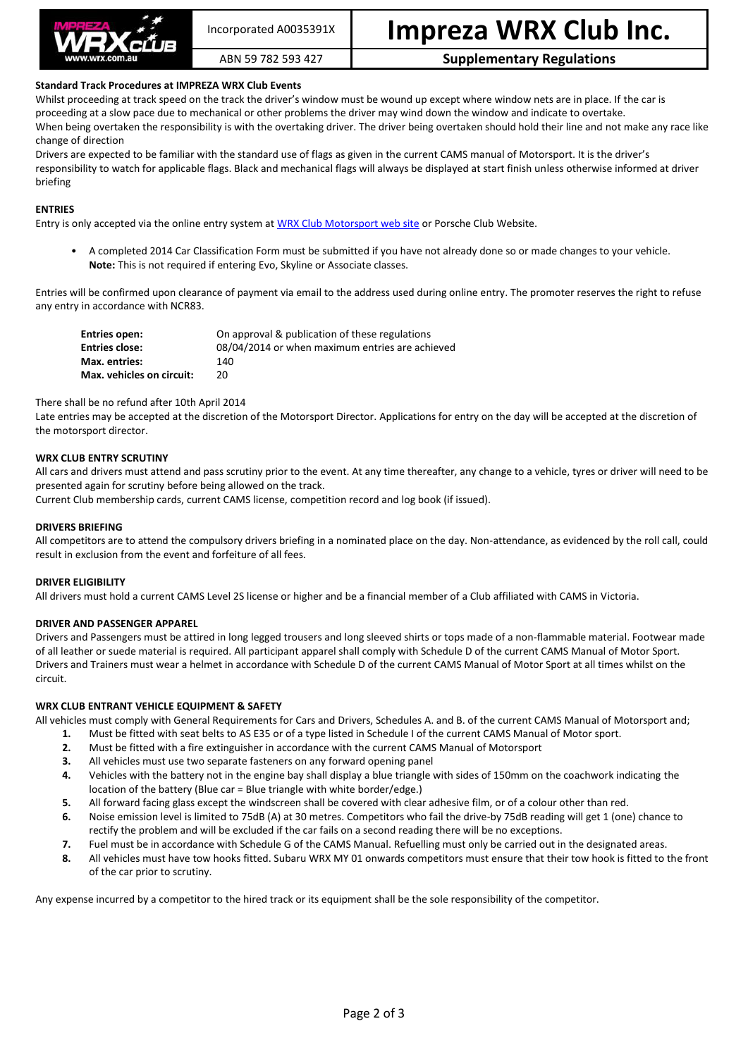

# Incorporated A0035391X **Impreza WRX Club Inc.**

### ABN 59 782 593 427 **Supplementary Regulations**

#### **Standard Track Procedures at IMPREZA WRX Club Events**

Whilst proceeding at track speed on the track the driver's window must be wound up except where window nets are in place. If the car is proceeding at a slow pace due to mechanical or other problems the driver may wind down the window and indicate to overtake. When being overtaken the responsibility is with the overtaking driver. The driver being overtaken should hold their line and not make any race like change of direction

Drivers are expected to be familiar with the standard use of flags as given in the current CAMS manual of Motorsport. It is the driver's responsibility to watch for applicable flags. Black and mechanical flags will always be displayed at start finish unless otherwise informed at driver briefing

#### **ENTRIES**

Entry is only accepted via the online entry system a[t WRX Club Motorsport web site](http://www.wrx.com.au/motorsport) or Porsche Club Website.

• A completed 2014 Car Classification Form must be submitted if you have not already done so or made changes to your vehicle. **Note:** This is not required if entering Evo, Skyline or Associate classes.

Entries will be confirmed upon clearance of payment via email to the address used during online entry. The promoter reserves the right to refuse any entry in accordance with NCR83.

| Entries open:             | On approval & publication of these regulations  |
|---------------------------|-------------------------------------------------|
| <b>Entries close:</b>     | 08/04/2014 or when maximum entries are achieved |
| Max. entries:             | 140                                             |
| Max. vehicles on circuit: | 20                                              |

#### There shall be no refund after 10th April 2014

Late entries may be accepted at the discretion of the Motorsport Director. Applications for entry on the day will be accepted at the discretion of the motorsport director.

#### **WRX CLUB ENTRY SCRUTINY**

All cars and drivers must attend and pass scrutiny prior to the event. At any time thereafter, any change to a vehicle, tyres or driver will need to be presented again for scrutiny before being allowed on the track.

Current Club membership cards, current CAMS license, competition record and log book (if issued).

#### **DRIVERS BRIEFING**

All competitors are to attend the compulsory drivers briefing in a nominated place on the day. Non-attendance, as evidenced by the roll call, could result in exclusion from the event and forfeiture of all fees.

#### **DRIVER ELIGIBILITY**

All drivers must hold a current CAMS Level 2S license or higher and be a financial member of a Club affiliated with CAMS in Victoria.

#### **DRIVER AND PASSENGER APPAREL**

Drivers and Passengers must be attired in long legged trousers and long sleeved shirts or tops made of a non-flammable material. Footwear made of all leather or suede material is required. All participant apparel shall comply with Schedule D of the current CAMS Manual of Motor Sport. Drivers and Trainers must wear a helmet in accordance with Schedule D of the current CAMS Manual of Motor Sport at all times whilst on the circuit.

#### **WRX CLUB ENTRANT VEHICLE EQUIPMENT & SAFETY**

All vehicles must comply with General Requirements for Cars and Drivers, Schedules A. and B. of the current CAMS Manual of Motorsport and;

- **1.** Must be fitted with seat belts to AS E35 or of a type listed in Schedule I of the current CAMS Manual of Motor sport.
- **2.** Must be fitted with a fire extinguisher in accordance with the current CAMS Manual of Motorsport
- **3.** All vehicles must use two separate fasteners on any forward opening panel
- **4.** Vehicles with the battery not in the engine bay shall display a blue triangle with sides of 150mm on the coachwork indicating the location of the battery (Blue car = Blue triangle with white border/edge.)
- **5.** All forward facing glass except the windscreen shall be covered with clear adhesive film, or of a colour other than red.
- **6.** Noise emission level is limited to 75dB (A) at 30 metres. Competitors who fail the drive-by 75dB reading will get 1 (one) chance to rectify the problem and will be excluded if the car fails on a second reading there will be no exceptions.
- **7.** Fuel must be in accordance with Schedule G of the CAMS Manual. Refuelling must only be carried out in the designated areas.
- **8.** All vehicles must have tow hooks fitted. Subaru WRX MY 01 onwards competitors must ensure that their tow hook is fitted to the front of the car prior to scrutiny.

Any expense incurred by a competitor to the hired track or its equipment shall be the sole responsibility of the competitor.